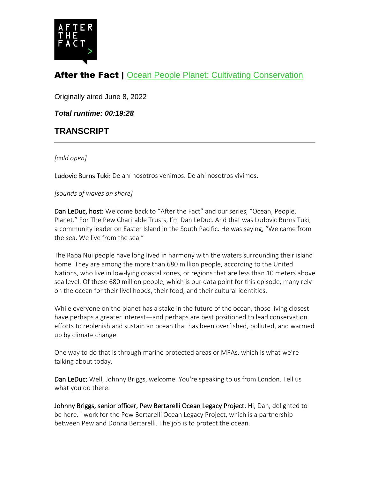

## After the Fact | [Ocean People Planet: Cultivating Conservation](https://www.pewtrusts.org/en/research-and-analysis/articles/2022/06/08/ocean-people-planet-cultivating-conservation)

Originally aired June 8, 2022

*Total runtime: 00:19:28*

## **TRANSCRIPT**

*[cold open]*

Ludovic Burns Tuki: De ahí nosotros venimos. De ahí nosotros vivimos.

*[sounds of waves on shore]*

Dan LeDuc, host: Welcome back to "After the Fact" and our series, "Ocean, People, Planet." For The Pew Charitable Trusts, I'm Dan LeDuc. And that was Ludovic Burns Tuki, a community leader on Easter Island in the South Pacific. He was saying, "We came from the sea. We live from the sea."

The Rapa Nui people have long lived in harmony with the waters surrounding their island home. They are among the more than 680 million people, according to the United Nations, who live in low-lying coastal zones, or regions that are less than 10 meters above sea level. Of these 680 million people, which is our data point for this episode, many rely on the ocean for their livelihoods, their food, and their cultural identities.

While everyone on the planet has a stake in the future of the ocean, those living closest have perhaps a greater interest—and perhaps are best positioned to lead conservation efforts to replenish and sustain an ocean that has been overfished, polluted, and warmed up by climate change.

One way to do that is through marine protected areas or MPAs, which is what we're talking about today.

Dan LeDuc: Well, Johnny Briggs, welcome. You're speaking to us from London. Tell us what you do there.

Johnny Briggs, senior officer, Pew Bertarelli Ocean Legacy Project: Hi, Dan, delighted to be here. I work for the Pew Bertarelli Ocean Legacy Project, which is a partnership between Pew and Donna Bertarelli. The job is to protect the ocean.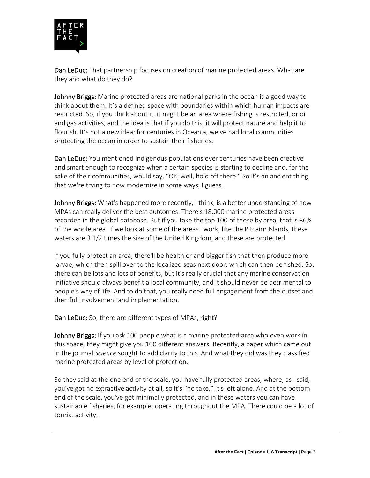

Dan LeDuc: That partnership focuses on creation of marine protected areas. What are they and what do they do?

Johnny Briggs: Marine protected areas are national parks in the ocean is a good way to think about them. It's a defined space with boundaries within which human impacts are restricted. So, if you think about it, it might be an area where fishing is restricted, or oil and gas activities, and the idea is that if you do this, it will protect nature and help it to flourish. It's not a new idea; for centuries in Oceania, we've had local communities protecting the ocean in order to sustain their fisheries.

Dan LeDuc: You mentioned Indigenous populations over centuries have been creative and smart enough to recognize when a certain species is starting to decline and, for the sake of their communities, would say, "OK, well, hold off there." So it's an ancient thing that we're trying to now modernize in some ways, I guess.

Johnny Briggs: What's happened more recently, I think, is a better understanding of how MPAs can really deliver the best outcomes. There's 18,000 marine protected areas recorded in the global database. But if you take the top 100 of those by area, that is 86% of the whole area. If we look at some of the areas I work, like the Pitcairn Islands, these waters are 3 1/2 times the size of the United Kingdom, and these are protected.

If you fully protect an area, there'll be healthier and bigger fish that then produce more larvae, which then spill over to the localized seas next door, which can then be fished. So, there can be lots and lots of benefits, but it's really crucial that any marine conservation initiative should always benefit a local community, and it should never be detrimental to people's way of life. And to do that, you really need full engagement from the outset and then full involvement and implementation.

Dan LeDuc: So, there are different types of MPAs, right?

Johnny Briggs: If you ask 100 people what is a marine protected area who even work in this space, they might give you 100 different answers. Recently, a paper which came out in the journal *Science* sought to add clarity to this. And what they did was they classified marine protected areas by level of protection.

So they said at the one end of the scale, you have fully protected areas, where, as I said, you've got no extractive activity at all, so it's "no take." It's left alone. And at the bottom end of the scale, you've got minimally protected, and in these waters you can have sustainable fisheries, for example, operating throughout the MPA. There could be a lot of tourist activity.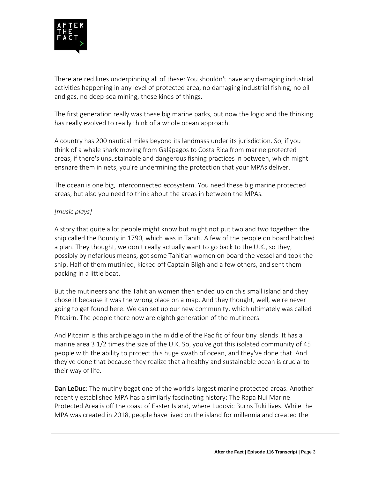

There are red lines underpinning all of these: You shouldn't have any damaging industrial activities happening in any level of protected area, no damaging industrial fishing, no oil and gas, no deep-sea mining, these kinds of things.

The first generation really was these big marine parks, but now the logic and the thinking has really evolved to really think of a whole ocean approach.

A country has 200 nautical miles beyond its landmass under its jurisdiction. So, if you think of a whale shark moving from Galápagos to Costa Rica from marine protected areas, if there's unsustainable and dangerous fishing practices in between, which might ensnare them in nets, you're undermining the protection that your MPAs deliver.

The ocean is one big, interconnected ecosystem. You need these big marine protected areas, but also you need to think about the areas in between the MPAs.

## *[music plays]*

A story that quite a lot people might know but might not put two and two together: the ship called the Bounty in 1790, which was in Tahiti. A few of the people on board hatched a plan. They thought, we don't really actually want to go back to the U.K., so they, possibly by nefarious means, got some Tahitian women on board the vessel and took the ship. Half of them mutinied, kicked off Captain Bligh and a few others, and sent them packing in a little boat.

But the mutineers and the Tahitian women then ended up on this small island and they chose it because it was the wrong place on a map. And they thought, well, we're never going to get found here. We can set up our new community, which ultimately was called Pitcairn. The people there now are eighth generation of the mutineers.

And Pitcairn is this archipelago in the middle of the Pacific of four tiny islands. It has a marine area 3 1/2 times the size of the U.K. So, you've got this isolated community of 45 people with the ability to protect this huge swath of ocean, and they've done that. And they've done that because they realize that a healthy and sustainable ocean is crucial to their way of life.

Dan LeDuc: The mutiny begat one of the world's largest marine protected areas. Another recently established MPA has a similarly fascinating history: The Rapa Nui Marine Protected Area is off the coast of Easter Island, where Ludovic Burns Tuki lives. While the MPA was created in 2018, people have lived on the island for millennia and created the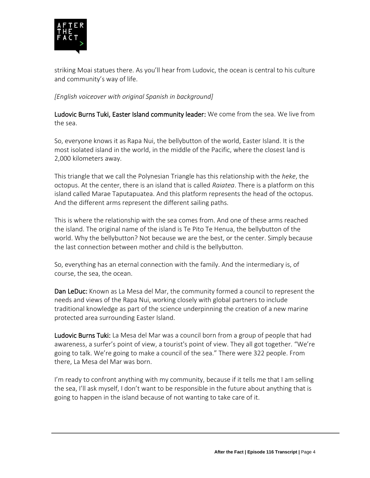

striking Moai statues there. As you'll hear from Ludovic, the ocean is central to his culture and community's way of life.

## *[English voiceover with original Spanish in background]*

Ludovic Burns Tuki, Easter Island community leader: We come from the sea. We live from the sea.

So, everyone knows it as Rapa Nui, the bellybutton of the world, Easter Island. It is the most isolated island in the world, in the middle of the Pacific, where the closest land is 2,000 kilometers away.

This triangle that we call the Polynesian Triangle has this relationship with the *heke*, the octopus. At the center, there is an island that is called *Raiatea*. There is a platform on this island called Marae Taputapuatea. And this platform represents the head of the octopus. And the different arms represent the different sailing paths.

This is where the relationship with the sea comes from. And one of these arms reached the island. The original name of the island is Te Pito Te Henua, the bellybutton of the world. Why the bellybutton? Not because we are the best, or the center. Simply because the last connection between mother and child is the bellybutton.

So, everything has an eternal connection with the family. And the intermediary is, of course, the sea, the ocean.

Dan LeDuc: Known as La Mesa del Mar, the community formed a council to represent the needs and views of the Rapa Nui, working closely with global partners to include traditional knowledge as part of the science underpinning the creation of a new marine protected area surrounding Easter Island.

Ludovic Burns Tuki: La Mesa del Mar was a council born from a group of people that had awareness, a surfer's point of view, a tourist's point of view. They all got together. "We're going to talk. We're going to make a council of the sea." There were 322 people. From there, La Mesa del Mar was born.

I'm ready to confront anything with my community, because if it tells me that I am selling the sea, I'll ask myself, I don't want to be responsible in the future about anything that is going to happen in the island because of not wanting to take care of it.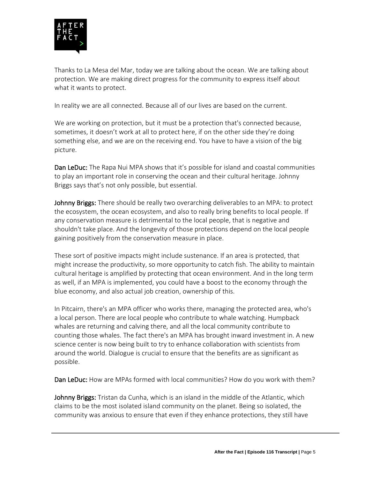

Thanks to La Mesa del Mar, today we are talking about the ocean. We are talking about protection. We are making direct progress for the community to express itself about what it wants to protect.

In reality we are all connected. Because all of our lives are based on the current.

We are working on protection, but it must be a protection that's connected because, sometimes, it doesn't work at all to protect here, if on the other side they're doing something else, and we are on the receiving end. You have to have a vision of the big picture.

Dan LeDuc: The Rapa Nui MPA shows that it's possible for island and coastal communities to play an important role in conserving the ocean and their cultural heritage. Johnny Briggs says that's not only possible, but essential.

Johnny Briggs: There should be really two overarching deliverables to an MPA: to protect the ecosystem, the ocean ecosystem, and also to really bring benefits to local people. If any conservation measure is detrimental to the local people, that is negative and shouldn't take place. And the longevity of those protections depend on the local people gaining positively from the conservation measure in place.

These sort of positive impacts might include sustenance. If an area is protected, that might increase the productivity, so more opportunity to catch fish. The ability to maintain cultural heritage is amplified by protecting that ocean environment. And in the long term as well, if an MPA is implemented, you could have a boost to the economy through the blue economy, and also actual job creation, ownership of this.

In Pitcairn, there's an MPA officer who works there, managing the protected area, who's a local person. There are local people who contribute to whale watching. Humpback whales are returning and calving there, and all the local community contribute to counting those whales. The fact there's an MPA has brought inward investment in. A new science center is now being built to try to enhance collaboration with scientists from around the world. Dialogue is crucial to ensure that the benefits are as significant as possible.

Dan LeDuc: How are MPAs formed with local communities? How do you work with them?

Johnny Briggs: Tristan da Cunha, which is an island in the middle of the Atlantic, which claims to be the most isolated island community on the planet. Being so isolated, the community was anxious to ensure that even if they enhance protections, they still have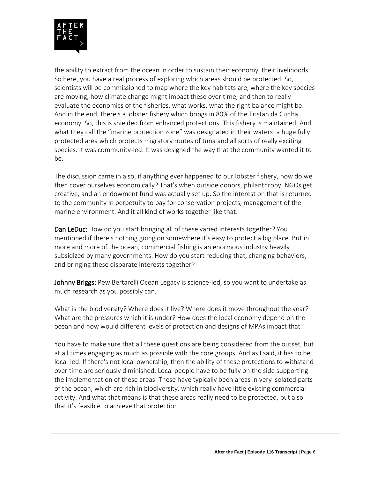

the ability to extract from the ocean in order to sustain their economy, their livelihoods. So here, you have a real process of exploring which areas should be protected. So, scientists will be commissioned to map where the key habitats are, where the key species are moving, how climate change might impact these over time, and then to really evaluate the economics of the fisheries, what works, what the right balance might be. And in the end, there's a lobster fishery which brings in 80% of the Tristan da Cunha economy. So, this is shielded from enhanced protections. This fishery is maintained. And what they call the "marine protection zone" was designated in their waters: a huge fully protected area which protects migratory routes of tuna and all sorts of really exciting species. It was community-led. It was designed the way that the community wanted it to be.

The discussion came in also, if anything ever happened to our lobster fishery, how do we then cover ourselves economically? That's when outside donors, philanthropy, NGOs get creative, and an endowment fund was actually set up. So the interest on that is returned to the community in perpetuity to pay for conservation projects, management of the marine environment. And it all kind of works together like that.

Dan LeDuc: How do you start bringing all of these varied interests together? You mentioned if there's nothing going on somewhere it's easy to protect a big place. But in more and more of the ocean, commercial fishing is an enormous industry heavily subsidized by many governments. How do you start reducing that, changing behaviors, and bringing these disparate interests together?

Johnny Briggs: Pew Bertarelli Ocean Legacy is science-led, so you want to undertake as much research as you possibly can.

What is the biodiversity? Where does it live? Where does it move throughout the year? What are the pressures which it is under? How does the local economy depend on the ocean and how would different levels of protection and designs of MPAs impact that?

You have to make sure that all these questions are being considered from the outset, but at all times engaging as much as possible with the core groups. And as I said, it has to be local-led. If there's not local ownership, then the ability of these protections to withstand over time are seriously diminished. Local people have to be fully on the side supporting the implementation of these areas. These have typically been areas in very isolated parts of the ocean, which are rich in biodiversity, which really have little existing commercial activity. And what that means is that these areas really need to be protected, but also that it's feasible to achieve that protection.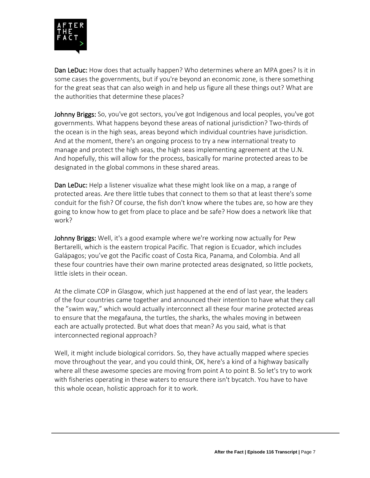

Dan LeDuc: How does that actually happen? Who determines where an MPA goes? Is it in some cases the governments, but if you're beyond an economic zone, is there something for the great seas that can also weigh in and help us figure all these things out? What are the authorities that determine these places?

Johnny Briggs: So, you've got sectors, you've got Indigenous and local peoples, you've got governments. What happens beyond these areas of national jurisdiction? Two-thirds of the ocean is in the high seas, areas beyond which individual countries have jurisdiction. And at the moment, there's an ongoing process to try a new international treaty to manage and protect the high seas, the high seas implementing agreement at the U.N. And hopefully, this will allow for the process, basically for marine protected areas to be designated in the global commons in these shared areas.

Dan LeDuc: Help a listener visualize what these might look like on a map, a range of protected areas. Are there little tubes that connect to them so that at least there's some conduit for the fish? Of course, the fish don't know where the tubes are, so how are they going to know how to get from place to place and be safe? How does a network like that work?

Johnny Briggs: Well, it's a good example where we're working now actually for Pew Bertarelli, which is the eastern tropical Pacific. That region is Ecuador, which includes Galápagos; you've got the Pacific coast of Costa Rica, Panama, and Colombia. And all these four countries have their own marine protected areas designated, so little pockets, little islets in their ocean.

At the climate COP in Glasgow, which just happened at the end of last year, the leaders of the four countries came together and announced their intention to have what they call the "swim way," which would actually interconnect all these four marine protected areas to ensure that the megafauna, the turtles, the sharks, the whales moving in between each are actually protected. But what does that mean? As you said, what is that interconnected regional approach?

Well, it might include biological corridors. So, they have actually mapped where species move throughout the year, and you could think, OK, here's a kind of a highway basically where all these awesome species are moving from point A to point B. So let's try to work with fisheries operating in these waters to ensure there isn't bycatch. You have to have this whole ocean, holistic approach for it to work.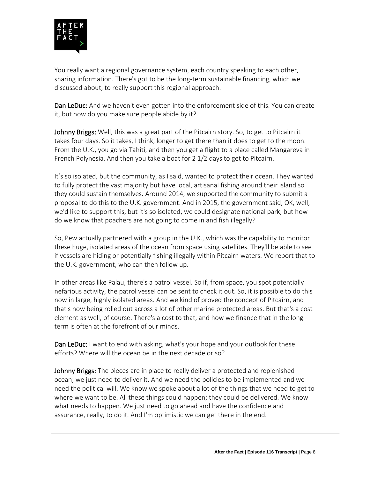

You really want a regional governance system, each country speaking to each other, sharing information. There's got to be the long-term sustainable financing, which we discussed about, to really support this regional approach.

Dan LeDuc: And we haven't even gotten into the enforcement side of this. You can create it, but how do you make sure people abide by it?

Johnny Briggs: Well, this was a great part of the Pitcairn story. So, to get to Pitcairn it takes four days. So it takes, I think, longer to get there than it does to get to the moon. From the U.K., you go via Tahiti, and then you get a flight to a place called Mangareva in French Polynesia. And then you take a boat for 2 1/2 days to get to Pitcairn.

It's so isolated, but the community, as I said, wanted to protect their ocean. They wanted to fully protect the vast majority but have local, artisanal fishing around their island so they could sustain themselves. Around 2014, we supported the community to submit a proposal to do this to the U.K. government. And in 2015, the government said, OK, well, we'd like to support this, but it's so isolated; we could designate national park, but how do we know that poachers are not going to come in and fish illegally?

So, Pew actually partnered with a group in the U.K., which was the capability to monitor these huge, isolated areas of the ocean from space using satellites. They'll be able to see if vessels are hiding or potentially fishing illegally within Pitcairn waters. We report that to the U.K. government, who can then follow up.

In other areas like Palau, there's a patrol vessel. So if, from space, you spot potentially nefarious activity, the patrol vessel can be sent to check it out. So, it is possible to do this now in large, highly isolated areas. And we kind of proved the concept of Pitcairn, and that's now being rolled out across a lot of other marine protected areas. But that's a cost element as well, of course. There's a cost to that, and how we finance that in the long term is often at the forefront of our minds.

**Dan LeDuc:** I want to end with asking, what's your hope and your outlook for these efforts? Where will the ocean be in the next decade or so?

Johnny Briggs: The pieces are in place to really deliver a protected and replenished ocean; we just need to deliver it. And we need the policies to be implemented and we need the political will. We know we spoke about a lot of the things that we need to get to where we want to be. All these things could happen; they could be delivered. We know what needs to happen. We just need to go ahead and have the confidence and assurance, really, to do it. And I'm optimistic we can get there in the end.